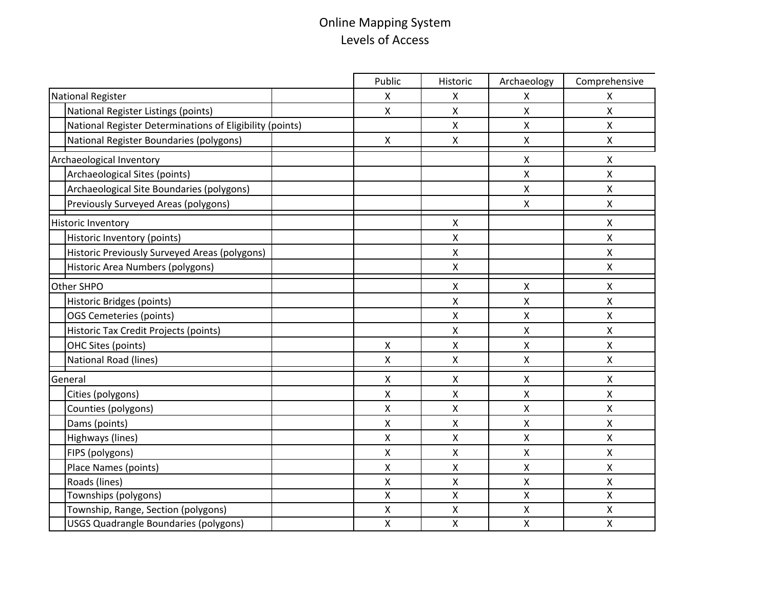## Online Mapping System Levels of Access

|                                                          | Public             | Historic | Archaeology        | Comprehensive |
|----------------------------------------------------------|--------------------|----------|--------------------|---------------|
| National Register                                        | X                  | X        | X                  | X             |
| National Register Listings (points)                      | $\mathsf{X}$       | X        | X                  | Χ             |
| National Register Determinations of Eligibility (points) |                    | Χ        | Χ                  | X             |
| National Register Boundaries (polygons)                  | X                  | X        | Χ                  | Χ             |
| Archaeological Inventory                                 |                    |          | $\pmb{\times}$     | X             |
| Archaeological Sites (points)                            |                    |          | Χ                  | X             |
| Archaeological Site Boundaries (polygons)                |                    |          | Χ                  | X             |
| Previously Surveyed Areas (polygons)                     |                    |          | Χ                  | X             |
| <b>Historic Inventory</b>                                |                    | Χ        |                    | X             |
| Historic Inventory (points)                              |                    | X        |                    | Χ             |
| Historic Previously Surveyed Areas (polygons)            |                    | Χ        |                    | Χ             |
| Historic Area Numbers (polygons)                         |                    | Χ        |                    | Χ             |
| Other SHPO                                               |                    | X        | $\mathsf{X}$       | X             |
| Historic Bridges (points)                                |                    | Χ        | Χ                  | X             |
| OGS Cemeteries (points)                                  |                    | X        | X                  | X             |
| Historic Tax Credit Projects (points)                    |                    | X        | Χ                  | X             |
| OHC Sites (points)                                       | $\mathsf{X}$       | X        | Χ                  | X             |
| <b>National Road (lines)</b>                             | Χ                  | Χ        | X                  | X             |
| General                                                  | Χ                  | X        | Χ                  | Χ             |
| Cities (polygons)                                        | Χ                  | Χ        | X                  | X             |
| Counties (polygons)                                      | X                  | X        | X                  | X             |
| Dams (points)                                            | $\pmb{\mathsf{X}}$ | X        | $\pmb{\mathsf{X}}$ | Χ             |
| Highways (lines)                                         | Χ                  | Χ        | Χ                  | Χ             |
| FIPS (polygons)                                          | Χ                  | Χ        | X                  | X             |
| Place Names (points)                                     | X                  | Χ        | Χ                  | Χ             |
| Roads (lines)                                            | X                  | Χ        | Χ                  | Χ             |
| Townships (polygons)                                     | X                  | X        | X                  | X             |
| Township, Range, Section (polygons)                      | $\pmb{\mathsf{X}}$ | Χ        | $\pmb{\mathsf{X}}$ | X             |
| <b>USGS Quadrangle Boundaries (polygons)</b>             | $\pmb{\mathsf{X}}$ | Χ        | $\pmb{\mathsf{X}}$ | X             |